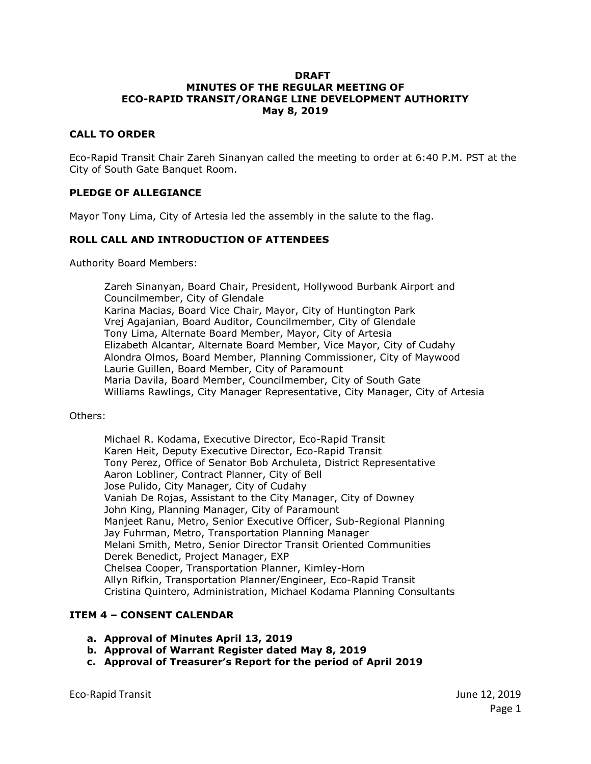#### **DRAFT MINUTES OF THE REGULAR MEETING OF ECO-RAPID TRANSIT/ORANGE LINE DEVELOPMENT AUTHORITY May 8, 2019**

#### **CALL TO ORDER**

Eco-Rapid Transit Chair Zareh Sinanyan called the meeting to order at 6:40 P.M. PST at the City of South Gate Banquet Room.

#### **PLEDGE OF ALLEGIANCE**

Mayor Tony Lima, City of Artesia led the assembly in the salute to the flag.

#### **ROLL CALL AND INTRODUCTION OF ATTENDEES**

Authority Board Members:

Zareh Sinanyan, Board Chair, President, Hollywood Burbank Airport and Councilmember, City of Glendale Karina Macias, Board Vice Chair, Mayor, City of Huntington Park Vrej Agajanian, Board Auditor, Councilmember, City of Glendale Tony Lima, Alternate Board Member, Mayor, City of Artesia Elizabeth Alcantar, Alternate Board Member, Vice Mayor, City of Cudahy Alondra Olmos, Board Member, Planning Commissioner, City of Maywood Laurie Guillen, Board Member, City of Paramount Maria Davila, Board Member, Councilmember, City of South Gate Williams Rawlings, City Manager Representative, City Manager, City of Artesia

#### Others:

Michael R. Kodama, Executive Director, Eco-Rapid Transit Karen Heit, Deputy Executive Director, Eco-Rapid Transit Tony Perez, Office of Senator Bob Archuleta, District Representative Aaron Lobliner, Contract Planner, City of Bell Jose Pulido, City Manager, City of Cudahy Vaniah De Rojas, Assistant to the City Manager, City of Downey John King, Planning Manager, City of Paramount Manjeet Ranu, Metro, Senior Executive Officer, Sub-Regional Planning Jay Fuhrman, Metro, Transportation Planning Manager Melani Smith, Metro, Senior Director Transit Oriented Communities Derek Benedict, Project Manager, EXP Chelsea Cooper, Transportation Planner, Kimley-Horn Allyn Rifkin, Transportation Planner/Engineer, Eco-Rapid Transit Cristina Quintero, Administration, Michael Kodama Planning Consultants

# **ITEM 4 – CONSENT CALENDAR**

- **a. Approval of Minutes April 13, 2019**
- **b. Approval of Warrant Register dated May 8, 2019**
- **c. Approval of Treasurer's Report for the period of April 2019**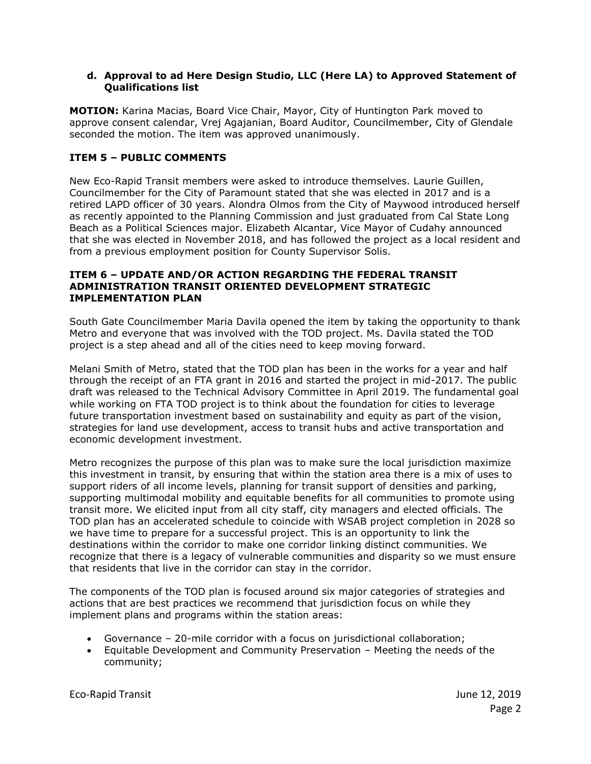### **d. Approval to ad Here Design Studio, LLC (Here LA) to Approved Statement of Qualifications list**

**MOTION:** Karina Macias, Board Vice Chair, Mayor, City of Huntington Park moved to approve consent calendar, Vrej Agajanian, Board Auditor, Councilmember, City of Glendale seconded the motion. The item was approved unanimously.

# **ITEM 5 – PUBLIC COMMENTS**

New Eco-Rapid Transit members were asked to introduce themselves. Laurie Guillen, Councilmember for the City of Paramount stated that she was elected in 2017 and is a retired LAPD officer of 30 years. Alondra Olmos from the City of Maywood introduced herself as recently appointed to the Planning Commission and just graduated from Cal State Long Beach as a Political Sciences major. Elizabeth Alcantar, Vice Mayor of Cudahy announced that she was elected in November 2018, and has followed the project as a local resident and from a previous employment position for County Supervisor Solis.

#### **ITEM 6 – UPDATE AND/OR ACTION REGARDING THE FEDERAL TRANSIT ADMINISTRATION TRANSIT ORIENTED DEVELOPMENT STRATEGIC IMPLEMENTATION PLAN**

South Gate Councilmember Maria Davila opened the item by taking the opportunity to thank Metro and everyone that was involved with the TOD project. Ms. Davila stated the TOD project is a step ahead and all of the cities need to keep moving forward.

Melani Smith of Metro, stated that the TOD plan has been in the works for a year and half through the receipt of an FTA grant in 2016 and started the project in mid-2017. The public draft was released to the Technical Advisory Committee in April 2019. The fundamental goal while working on FTA TOD project is to think about the foundation for cities to leverage future transportation investment based on sustainability and equity as part of the vision, strategies for land use development, access to transit hubs and active transportation and economic development investment.

Metro recognizes the purpose of this plan was to make sure the local jurisdiction maximize this investment in transit, by ensuring that within the station area there is a mix of uses to support riders of all income levels, planning for transit support of densities and parking, supporting multimodal mobility and equitable benefits for all communities to promote using transit more. We elicited input from all city staff, city managers and elected officials. The TOD plan has an accelerated schedule to coincide with WSAB project completion in 2028 so we have time to prepare for a successful project. This is an opportunity to link the destinations within the corridor to make one corridor linking distinct communities. We recognize that there is a legacy of vulnerable communities and disparity so we must ensure that residents that live in the corridor can stay in the corridor.

The components of the TOD plan is focused around six major categories of strategies and actions that are best practices we recommend that jurisdiction focus on while they implement plans and programs within the station areas:

- Governance 20-mile corridor with a focus on jurisdictional collaboration;
- Equitable Development and Community Preservation Meeting the needs of the community;

Eco-Rapid Transit June 12, 2019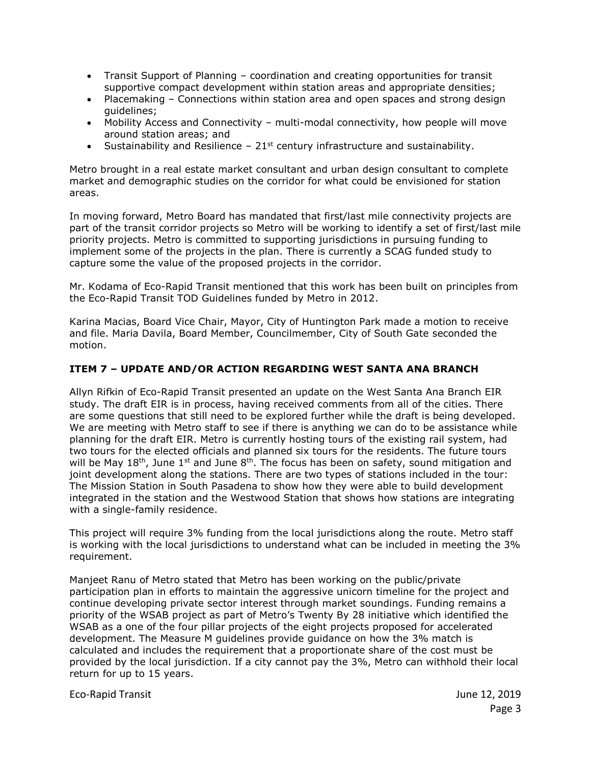- Transit Support of Planning coordination and creating opportunities for transit supportive compact development within station areas and appropriate densities;
- Placemaking Connections within station area and open spaces and strong design guidelines;
- Mobility Access and Connectivity multi-modal connectivity, how people will move around station areas; and
- Sustainability and Resilience  $-21$ <sup>st</sup> century infrastructure and sustainability.

Metro brought in a real estate market consultant and urban design consultant to complete market and demographic studies on the corridor for what could be envisioned for station areas.

In moving forward, Metro Board has mandated that first/last mile connectivity projects are part of the transit corridor projects so Metro will be working to identify a set of first/last mile priority projects. Metro is committed to supporting jurisdictions in pursuing funding to implement some of the projects in the plan. There is currently a SCAG funded study to capture some the value of the proposed projects in the corridor.

Mr. Kodama of Eco-Rapid Transit mentioned that this work has been built on principles from the Eco-Rapid Transit TOD Guidelines funded by Metro in 2012.

Karina Macias, Board Vice Chair, Mayor, City of Huntington Park made a motion to receive and file. Maria Davila, Board Member, Councilmember, City of South Gate seconded the motion.

# **ITEM 7 – UPDATE AND/OR ACTION REGARDING WEST SANTA ANA BRANCH**

Allyn Rifkin of Eco-Rapid Transit presented an update on the West Santa Ana Branch EIR study. The draft EIR is in process, having received comments from all of the cities. There are some questions that still need to be explored further while the draft is being developed. We are meeting with Metro staff to see if there is anything we can do to be assistance while planning for the draft EIR. Metro is currently hosting tours of the existing rail system, had two tours for the elected officials and planned six tours for the residents. The future tours will be May 18<sup>th</sup>, June 1<sup>st</sup> and June 8<sup>th</sup>. The focus has been on safety, sound mitigation and joint development along the stations. There are two types of stations included in the tour: The Mission Station in South Pasadena to show how they were able to build development integrated in the station and the Westwood Station that shows how stations are integrating with a single-family residence.

This project will require 3% funding from the local jurisdictions along the route. Metro staff is working with the local jurisdictions to understand what can be included in meeting the 3% requirement.

Manjeet Ranu of Metro stated that Metro has been working on the public/private participation plan in efforts to maintain the aggressive unicorn timeline for the project and continue developing private sector interest through market soundings. Funding remains a priority of the WSAB project as part of Metro's Twenty By 28 initiative which identified the WSAB as a one of the four pillar projects of the eight projects proposed for accelerated development. The Measure M guidelines provide guidance on how the 3% match is calculated and includes the requirement that a proportionate share of the cost must be provided by the local jurisdiction. If a city cannot pay the 3%, Metro can withhold their local return for up to 15 years.

Eco-Rapid Transit June 12, 2019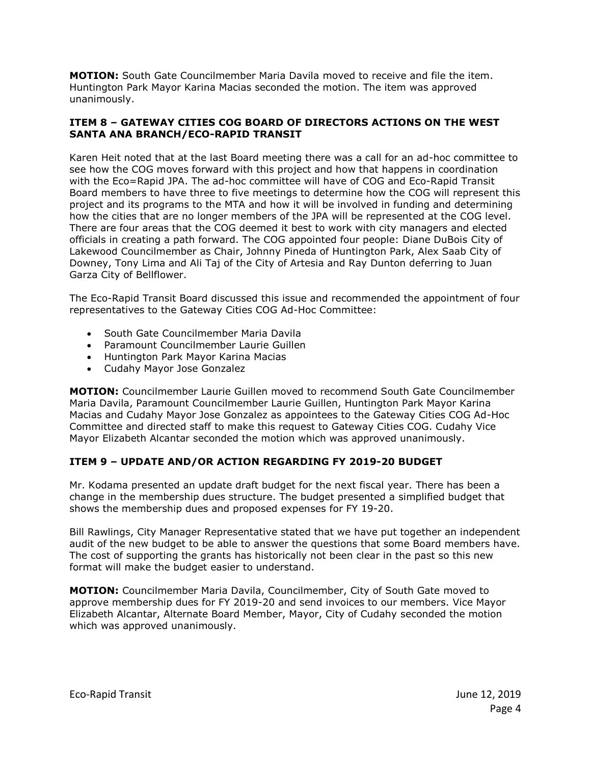**MOTION:** South Gate Councilmember Maria Davila moved to receive and file the item. Huntington Park Mayor Karina Macias seconded the motion. The item was approved unanimously.

## **ITEM 8 – GATEWAY CITIES COG BOARD OF DIRECTORS ACTIONS ON THE WEST SANTA ANA BRANCH/ECO-RAPID TRANSIT**

Karen Heit noted that at the last Board meeting there was a call for an ad-hoc committee to see how the COG moves forward with this project and how that happens in coordination with the Eco=Rapid JPA. The ad-hoc committee will have of COG and Eco-Rapid Transit Board members to have three to five meetings to determine how the COG will represent this project and its programs to the MTA and how it will be involved in funding and determining how the cities that are no longer members of the JPA will be represented at the COG level. There are four areas that the COG deemed it best to work with city managers and elected officials in creating a path forward. The COG appointed four people: Diane DuBois City of Lakewood Councilmember as Chair, Johnny Pineda of Huntington Park, Alex Saab City of Downey, Tony Lima and Ali Taj of the City of Artesia and Ray Dunton deferring to Juan Garza City of Bellflower.

The Eco-Rapid Transit Board discussed this issue and recommended the appointment of four representatives to the Gateway Cities COG Ad-Hoc Committee:

- South Gate Councilmember Maria Davila
- Paramount Councilmember Laurie Guillen
- Huntington Park Mayor Karina Macias
- Cudahy Mayor Jose Gonzalez

**MOTION:** Councilmember Laurie Guillen moved to recommend South Gate Councilmember Maria Davila, Paramount Councilmember Laurie Guillen, Huntington Park Mayor Karina Macias and Cudahy Mayor Jose Gonzalez as appointees to the Gateway Cities COG Ad-Hoc Committee and directed staff to make this request to Gateway Cities COG. Cudahy Vice Mayor Elizabeth Alcantar seconded the motion which was approved unanimously.

# **ITEM 9 – UPDATE AND/OR ACTION REGARDING FY 2019-20 BUDGET**

Mr. Kodama presented an update draft budget for the next fiscal year. There has been a change in the membership dues structure. The budget presented a simplified budget that shows the membership dues and proposed expenses for FY 19-20.

Bill Rawlings, City Manager Representative stated that we have put together an independent audit of the new budget to be able to answer the questions that some Board members have. The cost of supporting the grants has historically not been clear in the past so this new format will make the budget easier to understand.

**MOTION:** Councilmember Maria Davila, Councilmember, City of South Gate moved to approve membership dues for FY 2019-20 and send invoices to our members. Vice Mayor Elizabeth Alcantar, Alternate Board Member, Mayor, City of Cudahy seconded the motion which was approved unanimously.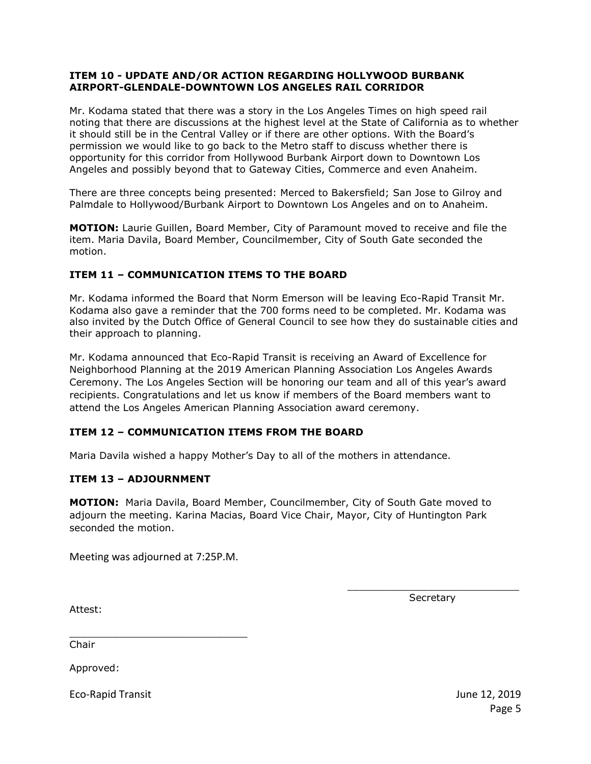### **ITEM 10 - UPDATE AND/OR ACTION REGARDING HOLLYWOOD BURBANK AIRPORT-GLENDALE-DOWNTOWN LOS ANGELES RAIL CORRIDOR**

Mr. Kodama stated that there was a story in the Los Angeles Times on high speed rail noting that there are discussions at the highest level at the State of California as to whether it should still be in the Central Valley or if there are other options. With the Board's permission we would like to go back to the Metro staff to discuss whether there is opportunity for this corridor from Hollywood Burbank Airport down to Downtown Los Angeles and possibly beyond that to Gateway Cities, Commerce and even Anaheim.

There are three concepts being presented: Merced to Bakersfield; San Jose to Gilroy and Palmdale to Hollywood/Burbank Airport to Downtown Los Angeles and on to Anaheim.

**MOTION:** Laurie Guillen, Board Member, City of Paramount moved to receive and file the item. Maria Davila, Board Member, Councilmember, City of South Gate seconded the motion.

# **ITEM 11 – COMMUNICATION ITEMS TO THE BOARD**

Mr. Kodama informed the Board that Norm Emerson will be leaving Eco-Rapid Transit Mr. Kodama also gave a reminder that the 700 forms need to be completed. Mr. Kodama was also invited by the Dutch Office of General Council to see how they do sustainable cities and their approach to planning.

Mr. Kodama announced that Eco-Rapid Transit is receiving an Award of Excellence for Neighborhood Planning at the 2019 American Planning Association Los Angeles Awards Ceremony. The Los Angeles Section will be honoring our team and all of this year's award recipients. Congratulations and let us know if members of the Board members want to attend the Los Angeles American Planning Association award ceremony.

# **ITEM 12 – COMMUNICATION ITEMS FROM THE BOARD**

Maria Davila wished a happy Mother's Day to all of the mothers in attendance.

#### **ITEM 13 – ADJOURNMENT**

**MOTION:** Maria Davila, Board Member, Councilmember, City of South Gate moved to adjourn the meeting. Karina Macias, Board Vice Chair, Mayor, City of Huntington Park seconded the motion.

Meeting was adjourned at 7:25P.M.

\_\_\_\_\_\_\_\_\_\_\_\_\_\_\_\_\_\_\_\_\_\_\_\_\_\_\_\_ **Secretary** 

Attest:

\_\_\_\_\_\_\_\_\_\_\_\_\_\_\_\_\_\_\_\_\_\_\_\_\_\_\_\_\_ Chair

Approved:

Eco-Rapid Transit June 12, 2019

Page 5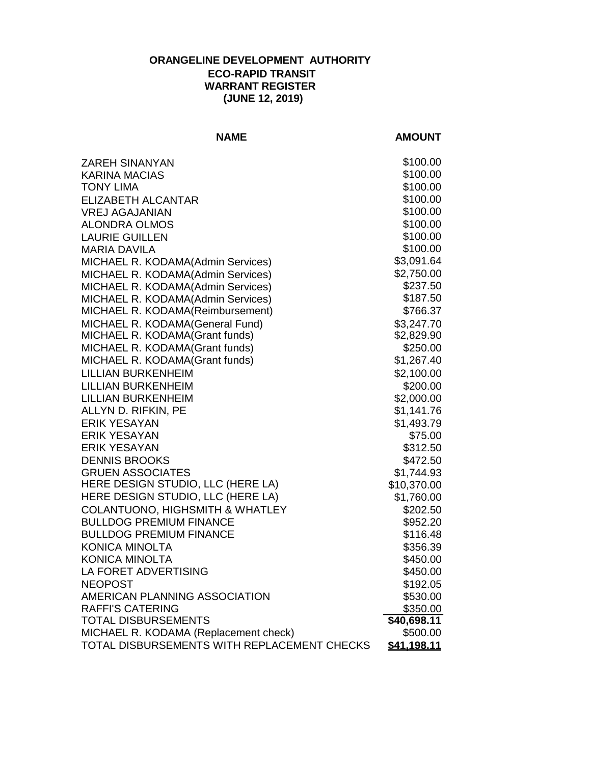# **ORANGELINE DEVELOPMENT AUTHORITY ECO-RAPID TRANSIT WARRANT REGISTER (JUNE 12, 2019)**

# **NAME AMOUNT**

| <b>ZAREH SINANYAN</b>                       | \$100.00           |
|---------------------------------------------|--------------------|
| <b>KARINA MACIAS</b>                        | \$100.00           |
| <b>TONY LIMA</b>                            | \$100.00           |
| <b>ELIZABETH ALCANTAR</b>                   | \$100.00           |
| <b>VREJ AGAJANIAN</b>                       | \$100.00           |
| <b>ALONDRA OLMOS</b>                        | \$100.00           |
| <b>LAURIE GUILLEN</b>                       | \$100.00           |
| <b>MARIA DAVILA</b>                         | \$100.00           |
| MICHAEL R. KODAMA(Admin Services)           | \$3,091.64         |
| MICHAEL R. KODAMA(Admin Services)           | \$2,750.00         |
| MICHAEL R. KODAMA(Admin Services)           | \$237.50           |
| MICHAEL R. KODAMA(Admin Services)           | \$187.50           |
| MICHAEL R. KODAMA(Reimbursement)            | \$766.37           |
| MICHAEL R. KODAMA(General Fund)             | \$3,247.70         |
| MICHAEL R. KODAMA(Grant funds)              | \$2,829.90         |
| MICHAEL R. KODAMA(Grant funds)              | \$250.00           |
| MICHAEL R. KODAMA(Grant funds)              | \$1,267.40         |
| <b>LILLIAN BURKENHEIM</b>                   | \$2,100.00         |
| <b>LILLIAN BURKENHEIM</b>                   | \$200.00           |
| <b>LILLIAN BURKENHEIM</b>                   | \$2,000.00         |
| ALLYN D. RIFKIN, PE                         | \$1,141.76         |
| <b>ERIK YESAYAN</b>                         | \$1,493.79         |
| <b>ERIK YESAYAN</b>                         | \$75.00            |
| <b>ERIK YESAYAN</b>                         | \$312.50           |
| <b>DENNIS BROOKS</b>                        | \$472.50           |
| <b>GRUEN ASSOCIATES</b>                     | \$1,744.93         |
| HERE DESIGN STUDIO, LLC (HERE LA)           | \$10,370.00        |
| HERE DESIGN STUDIO, LLC (HERE LA)           | \$1,760.00         |
| <b>COLANTUONO, HIGHSMITH &amp; WHATLEY</b>  | \$202.50           |
| <b>BULLDOG PREMIUM FINANCE</b>              | \$952.20           |
| <b>BULLDOG PREMIUM FINANCE</b>              | \$116.48           |
| KONICA MINOLTA                              | \$356.39           |
| <b>KONICA MINOLTA</b>                       | \$450.00           |
| LA FORET ADVERTISING                        | \$450.00           |
| <b>NEOPOST</b>                              | \$192.05           |
| AMERICAN PLANNING ASSOCIATION               | \$530.00           |
| <b>RAFFI'S CATERING</b>                     | \$350.00           |
| <b>TOTAL DISBURSEMENTS</b>                  | $\sqrt{40,698.11}$ |
| MICHAEL R. KODAMA (Replacement check)       | \$500.00           |
| TOTAL DISBURSEMENTS WITH REPLACEMENT CHECKS | \$41,198.11        |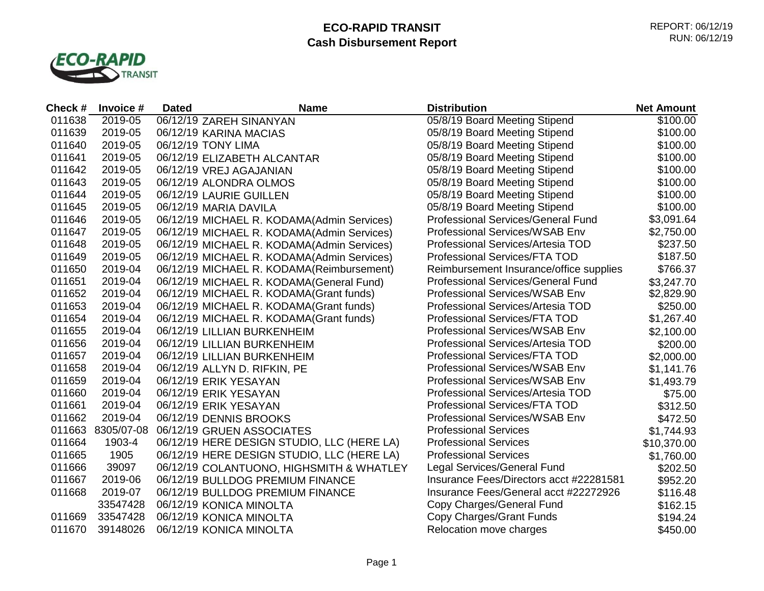# **ECO-RAPID TRANSIT Cash Disbursement Report**



| Check # | Invoice #  | <b>Dated</b> | <b>Name</b>                                | <b>Distribution</b>                       | <b>Net Amount</b> |
|---------|------------|--------------|--------------------------------------------|-------------------------------------------|-------------------|
| 011638  | 2019-05    |              | 06/12/19 ZAREH SINANYAN                    | 05/8/19 Board Meeting Stipend             | \$100.00          |
| 011639  | 2019-05    |              | 06/12/19 KARINA MACIAS                     | 05/8/19 Board Meeting Stipend             | \$100.00          |
| 011640  | 2019-05    |              | 06/12/19 TONY LIMA                         | 05/8/19 Board Meeting Stipend             | \$100.00          |
| 011641  | 2019-05    |              | 06/12/19 ELIZABETH ALCANTAR                | 05/8/19 Board Meeting Stipend             | \$100.00          |
| 011642  | 2019-05    |              | 06/12/19 VREJ AGAJANIAN                    | 05/8/19 Board Meeting Stipend             | \$100.00          |
| 011643  | 2019-05    |              | 06/12/19 ALONDRA OLMOS                     | 05/8/19 Board Meeting Stipend             | \$100.00          |
| 011644  | 2019-05    |              | 06/12/19 LAURIE GUILLEN                    | 05/8/19 Board Meeting Stipend             | \$100.00          |
| 011645  | 2019-05    |              | 06/12/19 MARIA DAVILA                      | 05/8/19 Board Meeting Stipend             | \$100.00          |
| 011646  | 2019-05    |              | 06/12/19 MICHAEL R. KODAMA(Admin Services) | <b>Professional Services/General Fund</b> | \$3,091.64        |
| 011647  | 2019-05    |              | 06/12/19 MICHAEL R. KODAMA(Admin Services) | Professional Services/WSAB Env            | \$2,750.00        |
| 011648  | 2019-05    |              | 06/12/19 MICHAEL R. KODAMA(Admin Services) | Professional Services/Artesia TOD         | \$237.50          |
| 011649  | 2019-05    |              | 06/12/19 MICHAEL R. KODAMA(Admin Services) | Professional Services/FTA TOD             | \$187.50          |
| 011650  | 2019-04    |              | 06/12/19 MICHAEL R. KODAMA(Reimbursement)  | Reimbursement Insurance/office supplies   | \$766.37          |
| 011651  | 2019-04    |              | 06/12/19 MICHAEL R. KODAMA(General Fund)   | <b>Professional Services/General Fund</b> | \$3,247.70        |
| 011652  | 2019-04    |              | 06/12/19 MICHAEL R. KODAMA(Grant funds)    | <b>Professional Services/WSAB Env</b>     | \$2,829.90        |
| 011653  | 2019-04    |              | 06/12/19 MICHAEL R. KODAMA(Grant funds)    | Professional Services/Artesia TOD         | \$250.00          |
| 011654  | 2019-04    |              | 06/12/19 MICHAEL R. KODAMA(Grant funds)    | Professional Services/FTA TOD             | \$1,267.40        |
| 011655  | 2019-04    |              | 06/12/19 LILLIAN BURKENHEIM                | Professional Services/WSAB Env            | \$2,100.00        |
| 011656  | 2019-04    |              | 06/12/19 LILLIAN BURKENHEIM                | Professional Services/Artesia TOD         | \$200.00          |
| 011657  | 2019-04    |              | 06/12/19 LILLIAN BURKENHEIM                | Professional Services/FTA TOD             | \$2,000.00        |
| 011658  | 2019-04    |              | 06/12/19 ALLYN D. RIFKIN, PE               | Professional Services/WSAB Env            | \$1,141.76        |
| 011659  | 2019-04    |              | 06/12/19 ERIK YESAYAN                      | Professional Services/WSAB Env            | \$1,493.79        |
| 011660  | 2019-04    |              | 06/12/19 ERIK YESAYAN                      | Professional Services/Artesia TOD         | \$75.00           |
| 011661  | 2019-04    |              | 06/12/19 ERIK YESAYAN                      | Professional Services/FTA TOD             | \$312.50          |
| 011662  | 2019-04    |              | 06/12/19 DENNIS BROOKS                     | Professional Services/WSAB Env            | \$472.50          |
| 011663  | 8305/07-08 |              | 06/12/19 GRUEN ASSOCIATES                  | <b>Professional Services</b>              | \$1,744.93        |
| 011664  | 1903-4     |              | 06/12/19 HERE DESIGN STUDIO, LLC (HERE LA) | <b>Professional Services</b>              | \$10,370.00       |
| 011665  | 1905       |              | 06/12/19 HERE DESIGN STUDIO, LLC (HERE LA) | <b>Professional Services</b>              | \$1,760.00        |
| 011666  | 39097      |              | 06/12/19 COLANTUONO, HIGHSMITH & WHATLEY   | Legal Services/General Fund               | \$202.50          |
| 011667  | 2019-06    |              | 06/12/19 BULLDOG PREMIUM FINANCE           | Insurance Fees/Directors acct #22281581   | \$952.20          |
| 011668  | 2019-07    |              | 06/12/19 BULLDOG PREMIUM FINANCE           | Insurance Fees/General acct #22272926     | \$116.48          |
|         | 33547428   |              | 06/12/19 KONICA MINOLTA                    | Copy Charges/General Fund                 | \$162.15          |
| 011669  | 33547428   |              | 06/12/19 KONICA MINOLTA                    | Copy Charges/Grant Funds                  | \$194.24          |
| 011670  | 39148026   |              | 06/12/19 KONICA MINOLTA                    | Relocation move charges                   | \$450.00          |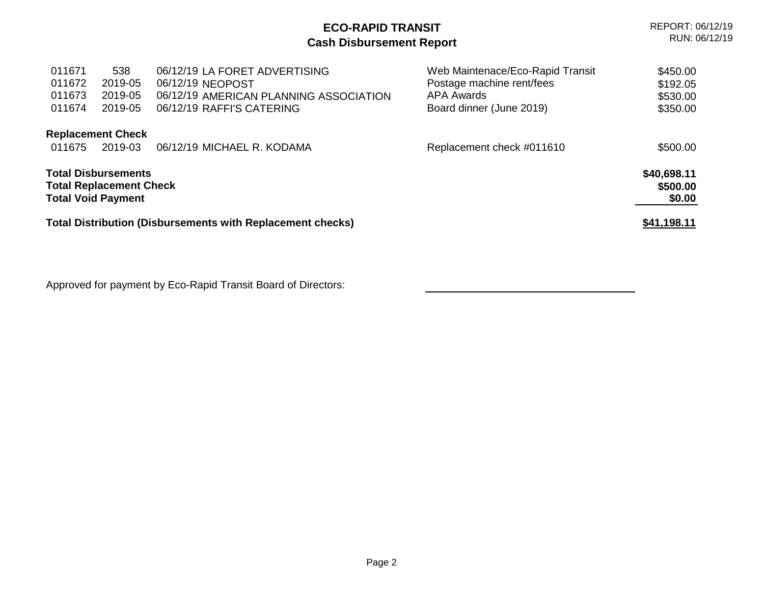|                                                                                           | REPORT: 06/12/19<br>RUN: 06/12/19    |                                                                                                                          |                                                                                                                |                                              |
|-------------------------------------------------------------------------------------------|--------------------------------------|--------------------------------------------------------------------------------------------------------------------------|----------------------------------------------------------------------------------------------------------------|----------------------------------------------|
| 011671<br>011672<br>011673<br>011674                                                      | 538<br>2019-05<br>2019-05<br>2019-05 | 06/12/19 LA FORET ADVERTISING<br>06/12/19 NEOPOST<br>06/12/19 AMERICAN PLANNING ASSOCIATION<br>06/12/19 RAFFI'S CATERING | Web Maintenace/Eco-Rapid Transit<br>Postage machine rent/fees<br><b>APA Awards</b><br>Board dinner (June 2019) | \$450.00<br>\$192.05<br>\$530.00<br>\$350.00 |
| 011675                                                                                    | <b>Replacement Check</b><br>2019-03  | 06/12/19 MICHAEL R. KODAMA                                                                                               | Replacement check #011610                                                                                      | \$500.00                                     |
| <b>Total Disbursements</b><br><b>Total Replacement Check</b><br><b>Total Void Payment</b> |                                      |                                                                                                                          |                                                                                                                | \$40,698.11<br>\$500.00<br>\$0.00            |
| <b>Total Distribution (Disbursements with Replacement checks)</b>                         | <u>\$41,198.11</u>                   |                                                                                                                          |                                                                                                                |                                              |

Approved for payment by Eco-Rapid Transit Board of Directors: